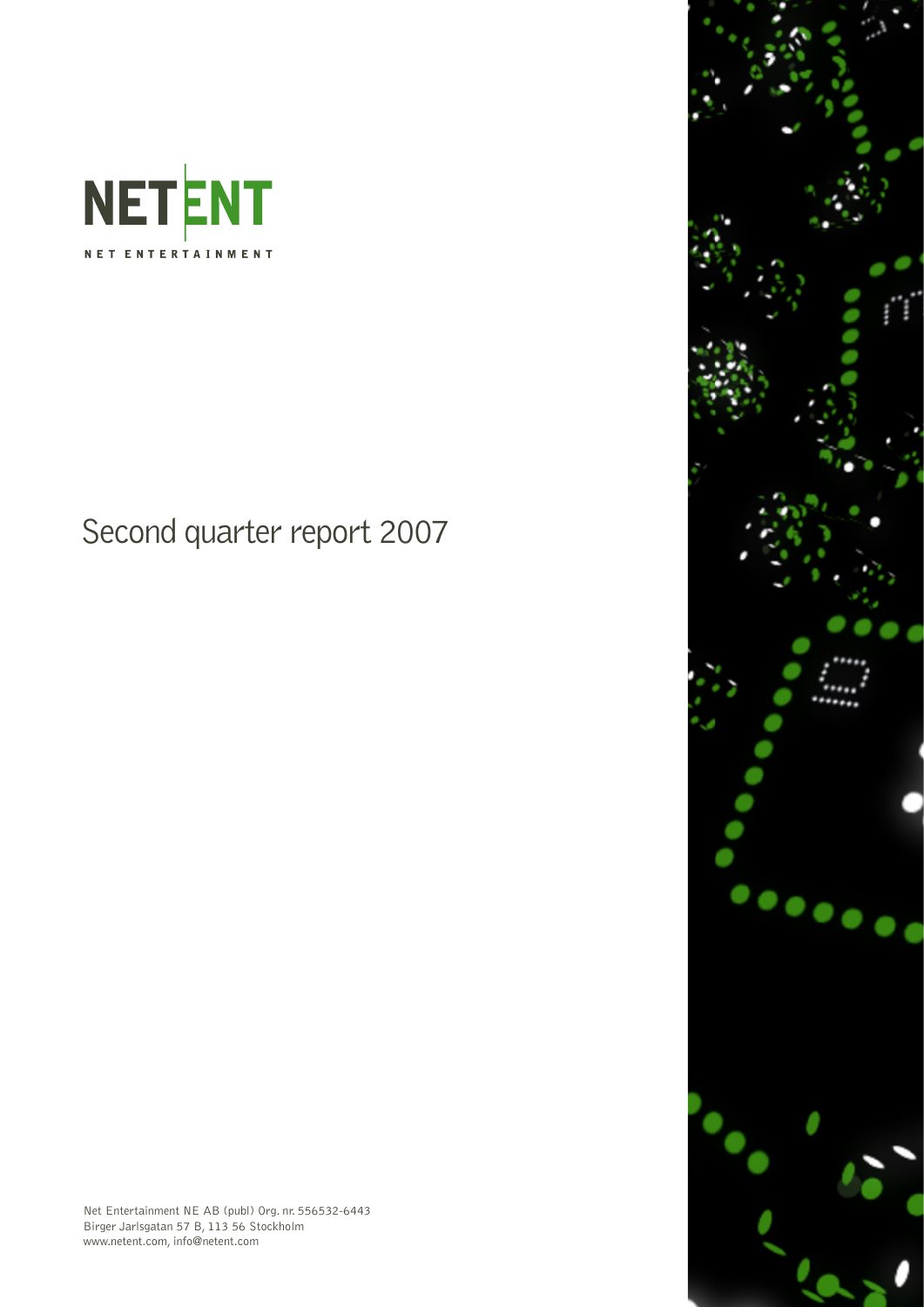

# Second quarter report 2007

Net Entertainment NE AB (publ) Org. nr. 556532-6443 Birger Jarlsgatan 57 B, 113 56 Stockholm www.netent.com, info@netent.com

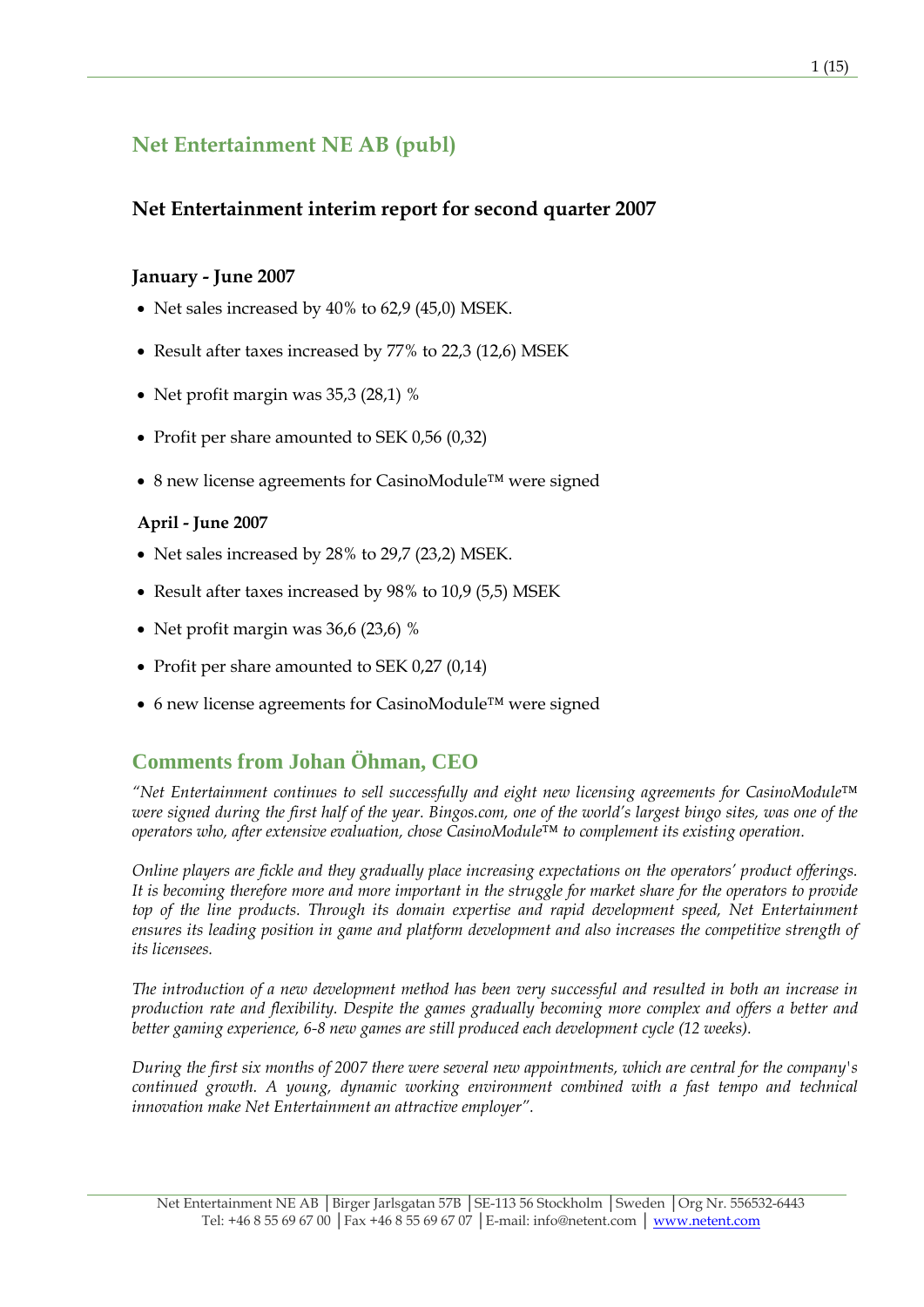# **Net Entertainment NE AB (publ)**

### **Net Entertainment interim report for second quarter 2007**

### **January - June 2007**

- Net sales increased by 40% to 62,9 (45,0) MSEK.
- Result after taxes increased by 77% to 22,3 (12,6) MSEK
- Net profit margin was 35,3 (28,1) %
- Profit per share amounted to SEK 0,56 (0,32)
- 8 new license agreements for CasinoModule™ were signed

### **April - June 2007**

- Net sales increased by 28% to 29,7 (23,2) MSEK.
- Result after taxes increased by 98% to 10,9 (5,5) MSEK
- Net profit margin was 36,6 (23,6) %
- Profit per share amounted to SEK 0,27 (0,14)
- 6 new license agreements for CasinoModule™ were signed

## **Comments from Johan Öhman, CEO**

*"Net Entertainment continues to sell successfully and eight new licensing agreements for CasinoModule™ were signed during the first half of the year. Bingos.com, one of the world's largest bingo sites, was one of the operators who, after extensive evaluation, chose CasinoModule™ to complement its existing operation.* 

*Online players are fickle and they gradually place increasing expectations on the operators' product offerings. It is becoming therefore more and more important in the struggle for market share for the operators to provide*  top of the line products. Through its domain expertise and rapid development speed, Net Entertainment *ensures its leading position in game and platform development and also increases the competitive strength of its licensees.* 

*The introduction of a new development method has been very successful and resulted in both an increase in production rate and flexibility. Despite the games gradually becoming more complex and offers a better and better gaming experience, 6-8 new games are still produced each development cycle (12 weeks).* 

*During the first six months of 2007 there were several new appointments, which are central for the company's continued growth. A young, dynamic working environment combined with a fast tempo and technical innovation make Net Entertainment an attractive employer".*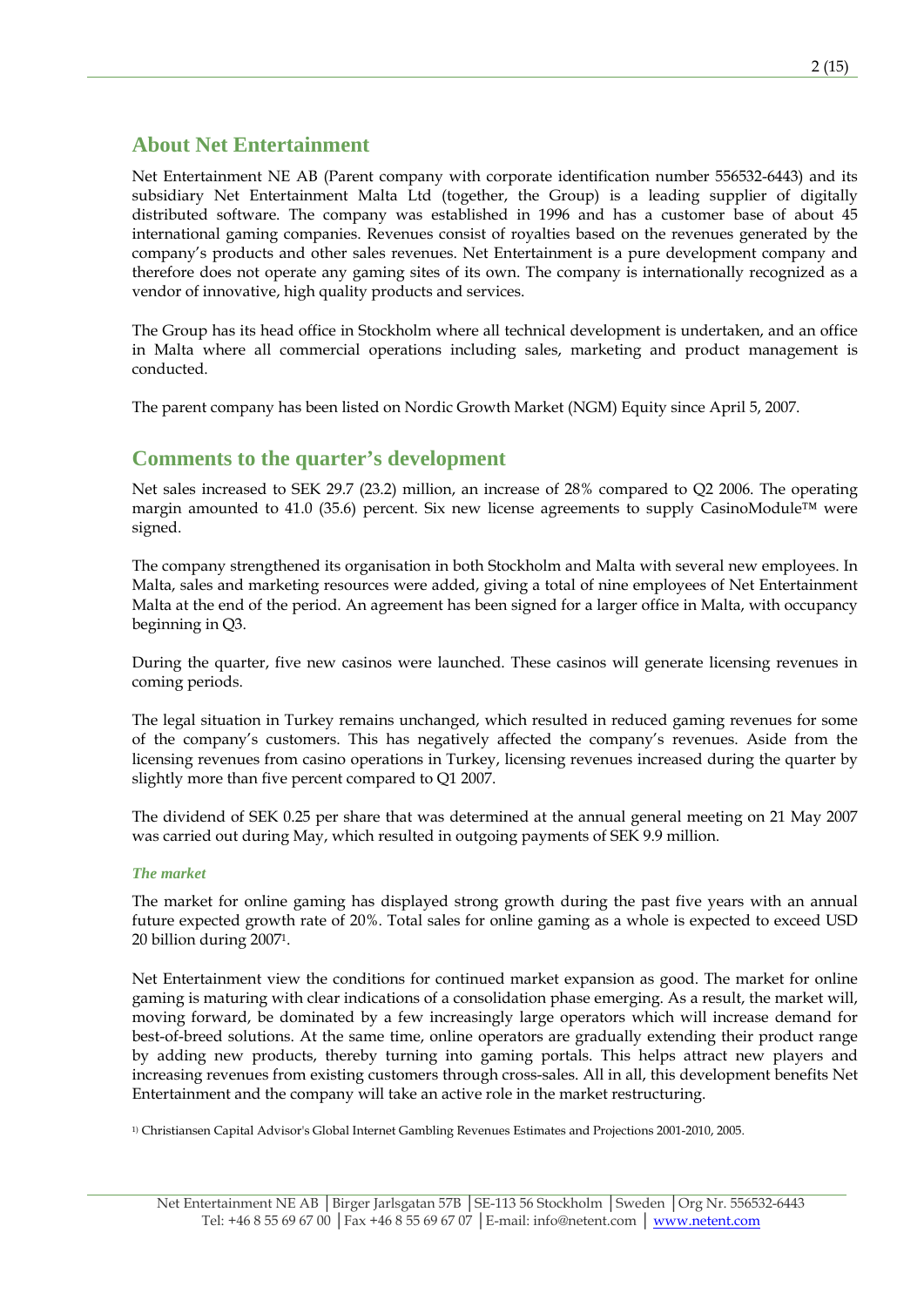### **About Net Entertainment**

Net Entertainment NE AB (Parent company with corporate identification number 556532-6443) and its subsidiary Net Entertainment Malta Ltd (together, the Group) is a leading supplier of digitally distributed software. The company was established in 1996 and has a customer base of about 45 international gaming companies. Revenues consist of royalties based on the revenues generated by the company's products and other sales revenues. Net Entertainment is a pure development company and therefore does not operate any gaming sites of its own. The company is internationally recognized as a vendor of innovative, high quality products and services.

The Group has its head office in Stockholm where all technical development is undertaken, and an office in Malta where all commercial operations including sales, marketing and product management is conducted.

The parent company has been listed on Nordic Growth Market (NGM) Equity since April 5, 2007.

### **Comments to the quarter's development**

Net sales increased to SEK 29.7 (23.2) million, an increase of 28% compared to Q2 2006. The operating margin amounted to 41.0 (35.6) percent. Six new license agreements to supply CasinoModule<sup>™</sup> were signed.

The company strengthened its organisation in both Stockholm and Malta with several new employees. In Malta, sales and marketing resources were added, giving a total of nine employees of Net Entertainment Malta at the end of the period. An agreement has been signed for a larger office in Malta, with occupancy beginning in Q3.

During the quarter, five new casinos were launched. These casinos will generate licensing revenues in coming periods.

The legal situation in Turkey remains unchanged, which resulted in reduced gaming revenues for some of the company's customers. This has negatively affected the company's revenues. Aside from the licensing revenues from casino operations in Turkey, licensing revenues increased during the quarter by slightly more than five percent compared to Q1 2007.

The dividend of SEK 0.25 per share that was determined at the annual general meeting on 21 May 2007 was carried out during May, which resulted in outgoing payments of SEK 9.9 million.

### *The market*

The market for online gaming has displayed strong growth during the past five years with an annual future expected growth rate of 20%. Total sales for online gaming as a whole is expected to exceed USD 20 billion during 20071.

Net Entertainment view the conditions for continued market expansion as good. The market for online gaming is maturing with clear indications of a consolidation phase emerging. As a result, the market will, moving forward, be dominated by a few increasingly large operators which will increase demand for best-of-breed solutions. At the same time, online operators are gradually extending their product range by adding new products, thereby turning into gaming portals. This helps attract new players and increasing revenues from existing customers through cross-sales. All in all, this development benefits Net Entertainment and the company will take an active role in the market restructuring.

1) Christiansen Capital Advisor's Global Internet Gambling Revenues Estimates and Projections 2001-2010, 2005.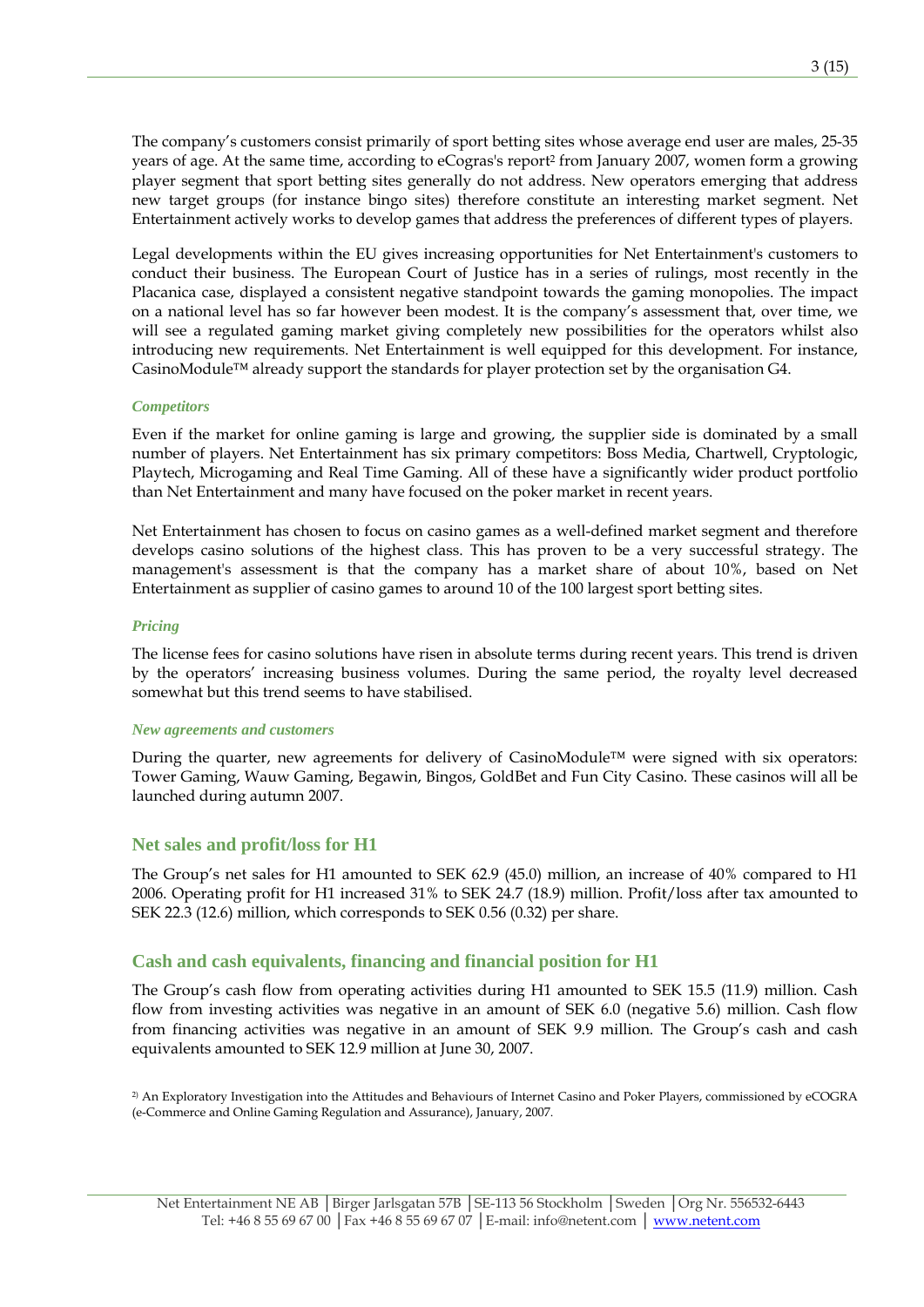The company's customers consist primarily of sport betting sites whose average end user are males, 25-35 years of age. At the same time, according to eCogras's report2 from January 2007, women form a growing player segment that sport betting sites generally do not address. New operators emerging that address new target groups (for instance bingo sites) therefore constitute an interesting market segment. Net Entertainment actively works to develop games that address the preferences of different types of players.

Legal developments within the EU gives increasing opportunities for Net Entertainment's customers to conduct their business. The European Court of Justice has in a series of rulings, most recently in the Placanica case, displayed a consistent negative standpoint towards the gaming monopolies. The impact on a national level has so far however been modest. It is the company's assessment that, over time, we will see a regulated gaming market giving completely new possibilities for the operators whilst also introducing new requirements. Net Entertainment is well equipped for this development. For instance, CasinoModule™ already support the standards for player protection set by the organisation G4.

#### *Competitors*

Even if the market for online gaming is large and growing, the supplier side is dominated by a small number of players. Net Entertainment has six primary competitors: Boss Media, Chartwell, Cryptologic, Playtech, Microgaming and Real Time Gaming. All of these have a significantly wider product portfolio than Net Entertainment and many have focused on the poker market in recent years.

Net Entertainment has chosen to focus on casino games as a well-defined market segment and therefore develops casino solutions of the highest class. This has proven to be a very successful strategy. The management's assessment is that the company has a market share of about 10%, based on Net Entertainment as supplier of casino games to around 10 of the 100 largest sport betting sites.

#### *Pricing*

The license fees for casino solutions have risen in absolute terms during recent years. This trend is driven by the operators' increasing business volumes. During the same period, the royalty level decreased somewhat but this trend seems to have stabilised.

#### *New agreements and customers*

During the quarter, new agreements for delivery of CasinoModule™ were signed with six operators: Tower Gaming, Wauw Gaming, Begawin, Bingos, GoldBet and Fun City Casino. These casinos will all be launched during autumn 2007.

### **Net sales and profit/loss for H1**

The Group's net sales for H1 amounted to SEK 62.9 (45.0) million, an increase of 40% compared to H1 2006. Operating profit for H1 increased 31% to SEK 24.7 (18.9) million. Profit/loss after tax amounted to SEK 22.3 (12.6) million, which corresponds to SEK 0.56 (0.32) per share.

### **Cash and cash equivalents, financing and financial position for H1**

The Group's cash flow from operating activities during H1 amounted to SEK 15.5 (11.9) million. Cash flow from investing activities was negative in an amount of SEK 6.0 (negative 5.6) million. Cash flow from financing activities was negative in an amount of SEK 9.9 million. The Group's cash and cash equivalents amounted to SEK 12.9 million at June 30, 2007.

2) An Exploratory Investigation into the Attitudes and Behaviours of Internet Casino and Poker Players, commissioned by eCOGRA (e-Commerce and Online Gaming Regulation and Assurance), January, 2007.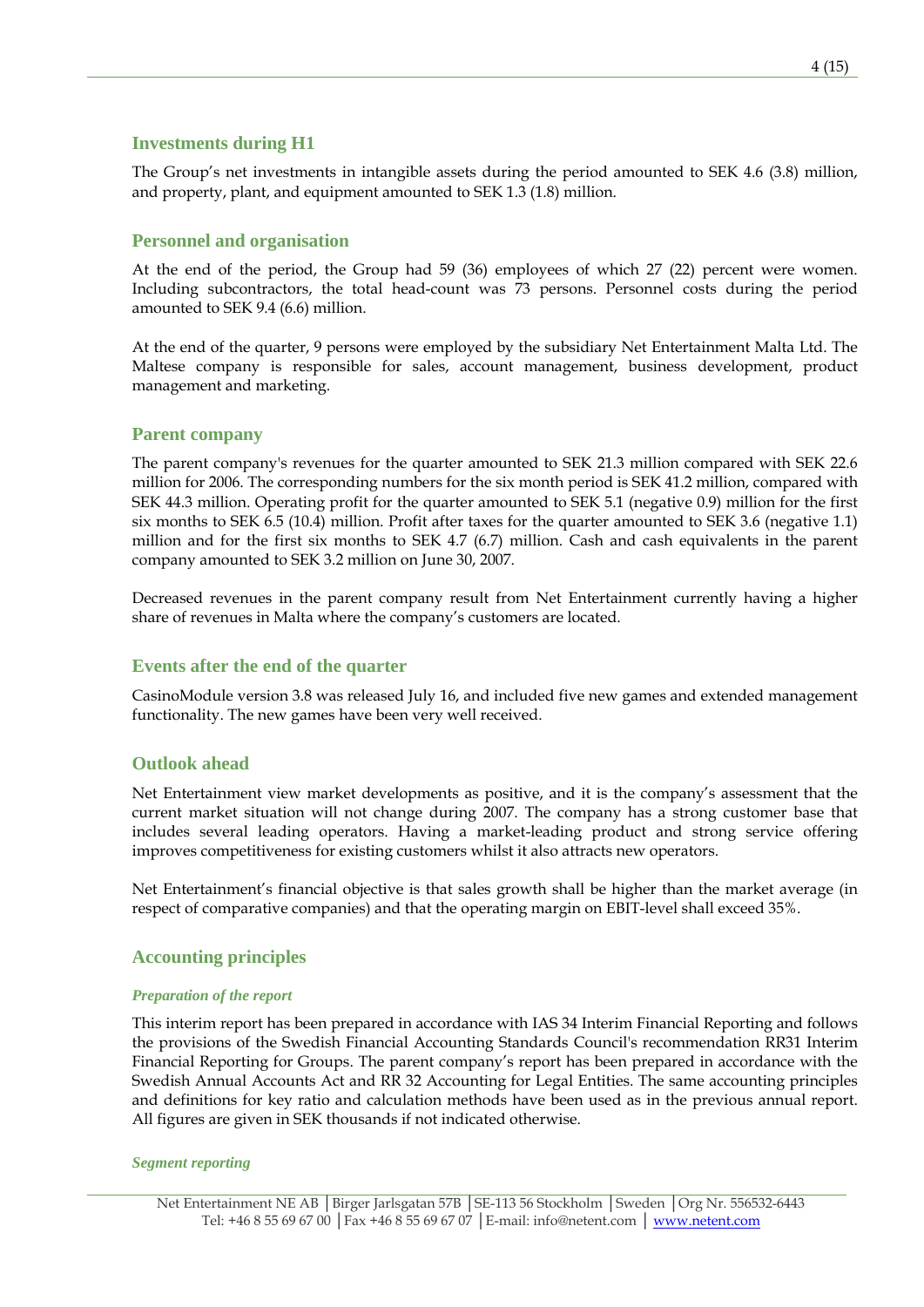### **Investments during H1**

The Group's net investments in intangible assets during the period amounted to SEK 4.6 (3.8) million, and property, plant, and equipment amounted to SEK 1.3 (1.8) million.

### **Personnel and organisation**

At the end of the period, the Group had 59 (36) employees of which 27 (22) percent were women. Including subcontractors, the total head-count was 73 persons. Personnel costs during the period amounted to SEK 9.4 (6.6) million.

At the end of the quarter, 9 persons were employed by the subsidiary Net Entertainment Malta Ltd. The Maltese company is responsible for sales, account management, business development, product management and marketing.

### **Parent company**

The parent company's revenues for the quarter amounted to SEK 21.3 million compared with SEK 22.6 million for 2006. The corresponding numbers for the six month period is SEK 41.2 million, compared with SEK 44.3 million. Operating profit for the quarter amounted to SEK 5.1 (negative 0.9) million for the first six months to SEK 6.5 (10.4) million. Profit after taxes for the quarter amounted to SEK 3.6 (negative 1.1) million and for the first six months to SEK 4.7 (6.7) million. Cash and cash equivalents in the parent company amounted to SEK 3.2 million on June 30, 2007.

Decreased revenues in the parent company result from Net Entertainment currently having a higher share of revenues in Malta where the company's customers are located.

### **Events after the end of the quarter**

CasinoModule version 3.8 was released July 16, and included five new games and extended management functionality. The new games have been very well received.

### **Outlook ahead**

Net Entertainment view market developments as positive, and it is the company's assessment that the current market situation will not change during 2007. The company has a strong customer base that includes several leading operators. Having a market-leading product and strong service offering improves competitiveness for existing customers whilst it also attracts new operators.

Net Entertainment's financial objective is that sales growth shall be higher than the market average (in respect of comparative companies) and that the operating margin on EBIT-level shall exceed 35%.

### **Accounting principles**

#### *Preparation of the report*

This interim report has been prepared in accordance with IAS 34 Interim Financial Reporting and follows the provisions of the Swedish Financial Accounting Standards Council's recommendation RR31 Interim Financial Reporting for Groups. The parent company's report has been prepared in accordance with the Swedish Annual Accounts Act and RR 32 Accounting for Legal Entities. The same accounting principles and definitions for key ratio and calculation methods have been used as in the previous annual report. All figures are given in SEK thousands if not indicated otherwise.

#### *Segment reporting*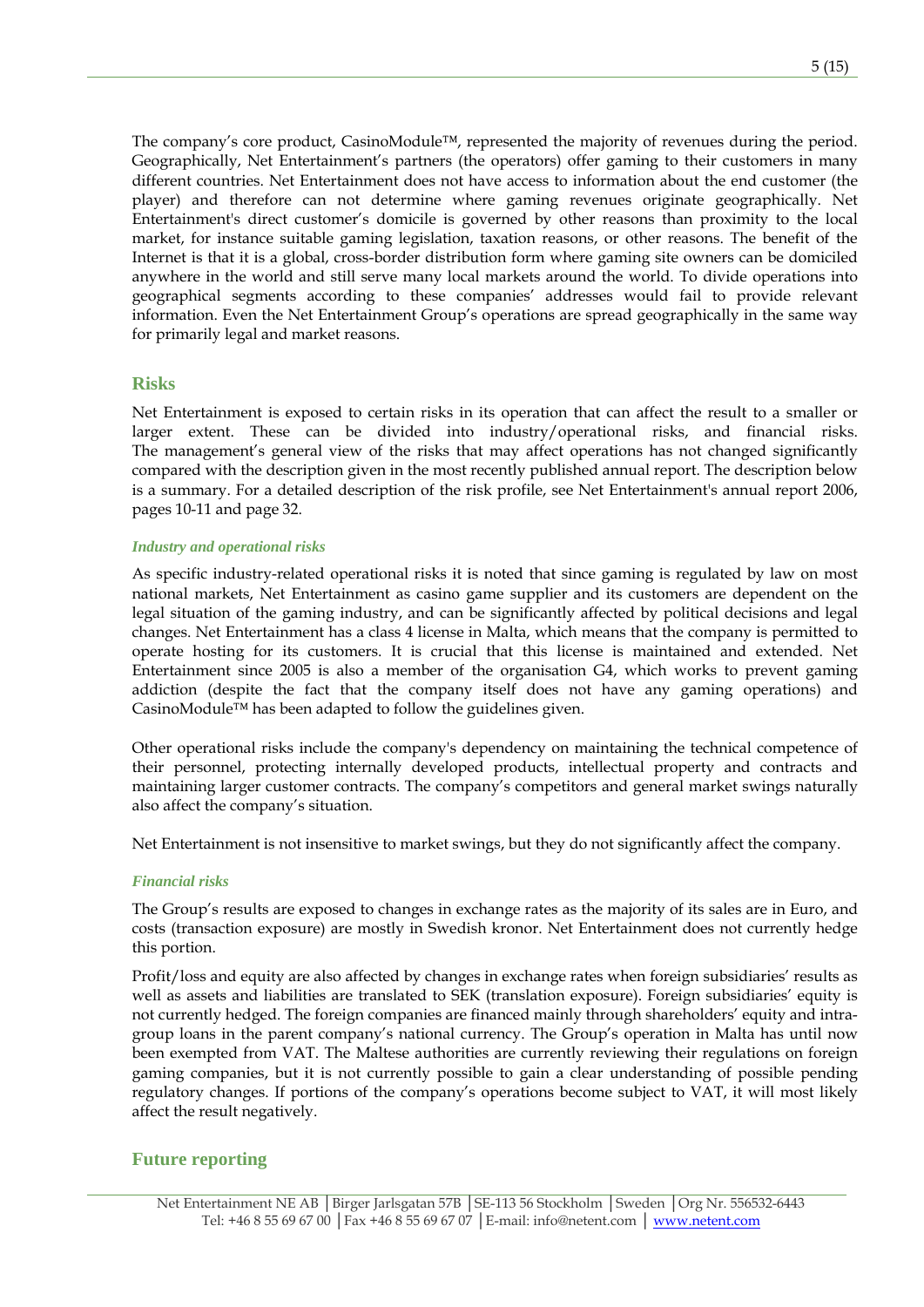The company's core product, CasinoModule™, represented the majority of revenues during the period. Geographically, Net Entertainment's partners (the operators) offer gaming to their customers in many different countries. Net Entertainment does not have access to information about the end customer (the player) and therefore can not determine where gaming revenues originate geographically. Net Entertainment's direct customer's domicile is governed by other reasons than proximity to the local market, for instance suitable gaming legislation, taxation reasons, or other reasons. The benefit of the Internet is that it is a global, cross-border distribution form where gaming site owners can be domiciled anywhere in the world and still serve many local markets around the world. To divide operations into geographical segments according to these companies' addresses would fail to provide relevant information. Even the Net Entertainment Group's operations are spread geographically in the same way for primarily legal and market reasons.

### **Risks**

Net Entertainment is exposed to certain risks in its operation that can affect the result to a smaller or larger extent. These can be divided into industry/operational risks, and financial risks. The management's general view of the risks that may affect operations has not changed significantly compared with the description given in the most recently published annual report. The description below is a summary. For a detailed description of the risk profile, see Net Entertainment's annual report 2006, pages 10-11 and page 32.

### *Industry and operational risks*

As specific industry-related operational risks it is noted that since gaming is regulated by law on most national markets, Net Entertainment as casino game supplier and its customers are dependent on the legal situation of the gaming industry, and can be significantly affected by political decisions and legal changes. Net Entertainment has a class 4 license in Malta, which means that the company is permitted to operate hosting for its customers. It is crucial that this license is maintained and extended. Net Entertainment since 2005 is also a member of the organisation G4, which works to prevent gaming addiction (despite the fact that the company itself does not have any gaming operations) and CasinoModule™ has been adapted to follow the guidelines given.

Other operational risks include the company's dependency on maintaining the technical competence of their personnel, protecting internally developed products, intellectual property and contracts and maintaining larger customer contracts. The company's competitors and general market swings naturally also affect the company's situation.

Net Entertainment is not insensitive to market swings, but they do not significantly affect the company.

### *Financial risks*

The Group's results are exposed to changes in exchange rates as the majority of its sales are in Euro, and costs (transaction exposure) are mostly in Swedish kronor. Net Entertainment does not currently hedge this portion.

Profit/loss and equity are also affected by changes in exchange rates when foreign subsidiaries' results as well as assets and liabilities are translated to SEK (translation exposure). Foreign subsidiaries' equity is not currently hedged. The foreign companies are financed mainly through shareholders' equity and intragroup loans in the parent company's national currency. The Group's operation in Malta has until now been exempted from VAT. The Maltese authorities are currently reviewing their regulations on foreign gaming companies, but it is not currently possible to gain a clear understanding of possible pending regulatory changes. If portions of the company's operations become subject to VAT, it will most likely affect the result negatively.

### **Future reporting**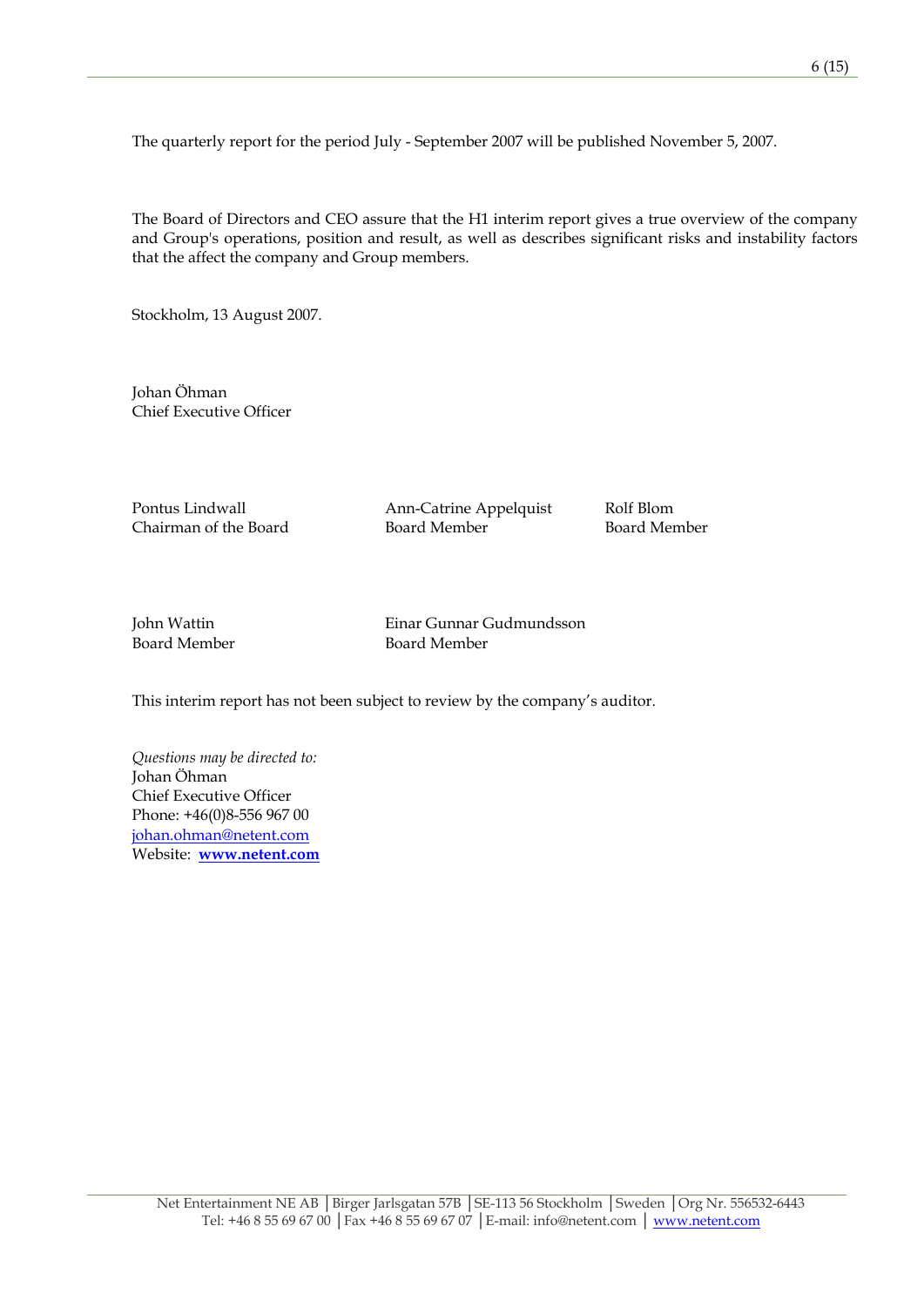The quarterly report for the period July - September 2007 will be published November 5, 2007.

The Board of Directors and CEO assure that the H1 interim report gives a true overview of the company and Group's operations, position and result, as well as describes significant risks and instability factors that the affect the company and Group members.

Stockholm, 13 August 2007.

Johan Öhman Chief Executive Officer

Pontus Lindwall **Ann-Catrine Appelquist** Rolf Blom

Chairman of the Board Board Member Board Member

John Wattin Einar Gunnar Gudmundsson Board Member Board Member

This interim report has not been subject to review by the company's auditor.

*Questions may be directed to:*  Johan Öhman Chief Executive Officer Phone: +46(0)8-556 967 00 [johan.ohman@netent.com](mailto:johan.ohman@netent.com) Website: **[www.netent.com](http://www.netent.com/)**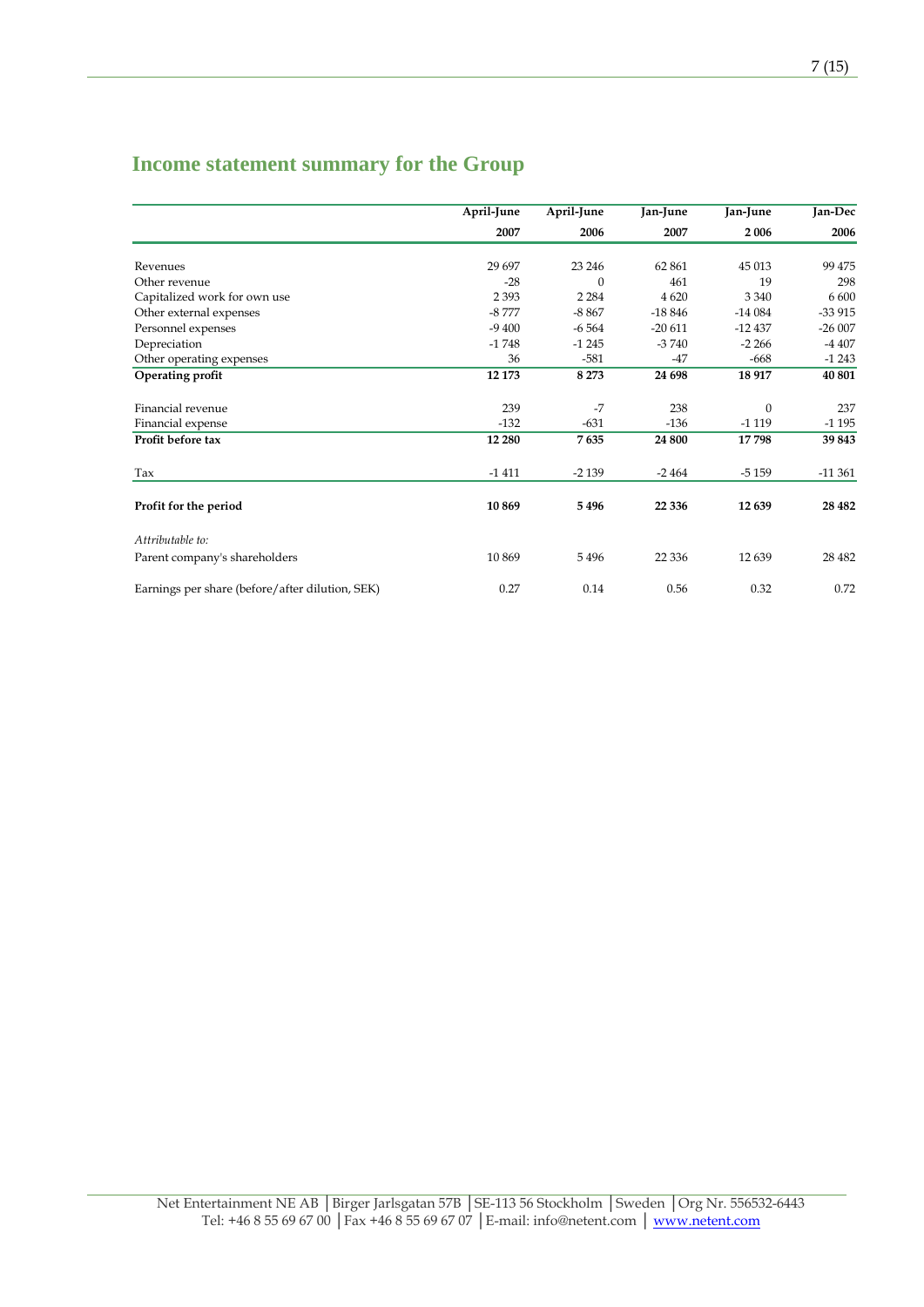# **Income statement summary for the Group**

|                                                 | April-June | April-June | Jan-June | Jan-June | Jan-Dec  |
|-------------------------------------------------|------------|------------|----------|----------|----------|
|                                                 | 2007       | 2006       | 2007     | 2006     | 2006     |
|                                                 |            |            |          |          |          |
| Revenues                                        | 29 697     | 23 24 6    | 62861    | 45 013   | 99 475   |
| Other revenue                                   | $-28$      | $\Omega$   | 461      | 19       | 298      |
| Capitalized work for own use                    | 2 3 9 3    | 2 2 8 4    | 4 6 20   | 3 3 4 0  | 6 600    |
| Other external expenses                         | $-8777$    | $-8867$    | $-18846$ | $-14084$ | $-33915$ |
| Personnel expenses                              | $-9400$    | $-6564$    | $-20611$ | $-12437$ | $-26007$ |
| Depreciation                                    | $-1748$    | $-1245$    | $-3740$  | $-2266$  | $-4407$  |
| Other operating expenses                        | 36         | $-581$     | -47      | $-668$   | $-1243$  |
| Operating profit                                | 12 173     | 8 2 7 3    | 24 698   | 18 917   | 40 801   |
| Financial revenue                               | 239        | $-7$       | 238      | $\Omega$ | 237      |
| Financial expense                               | $-132$     | $-631$     | $-136$   | $-1119$  | $-1195$  |
| Profit before tax                               | 12 280     | 7635       | 24 800   | 17798    | 39843    |
| Tax                                             | $-1411$    | $-2139$    | $-2464$  | $-5159$  | $-11361$ |
| Profit for the period                           | 10 869     | 5496       | 22 3 36  | 12639    | 28 4 82  |
| Attributable to:                                |            |            |          |          |          |
| Parent company's shareholders                   | 10869      | 5496       | 22 3 36  | 12 639   | 28 4 82  |
| Earnings per share (before/after dilution, SEK) | 0.27       | 0.14       | 0.56     | 0.32     | 0.72     |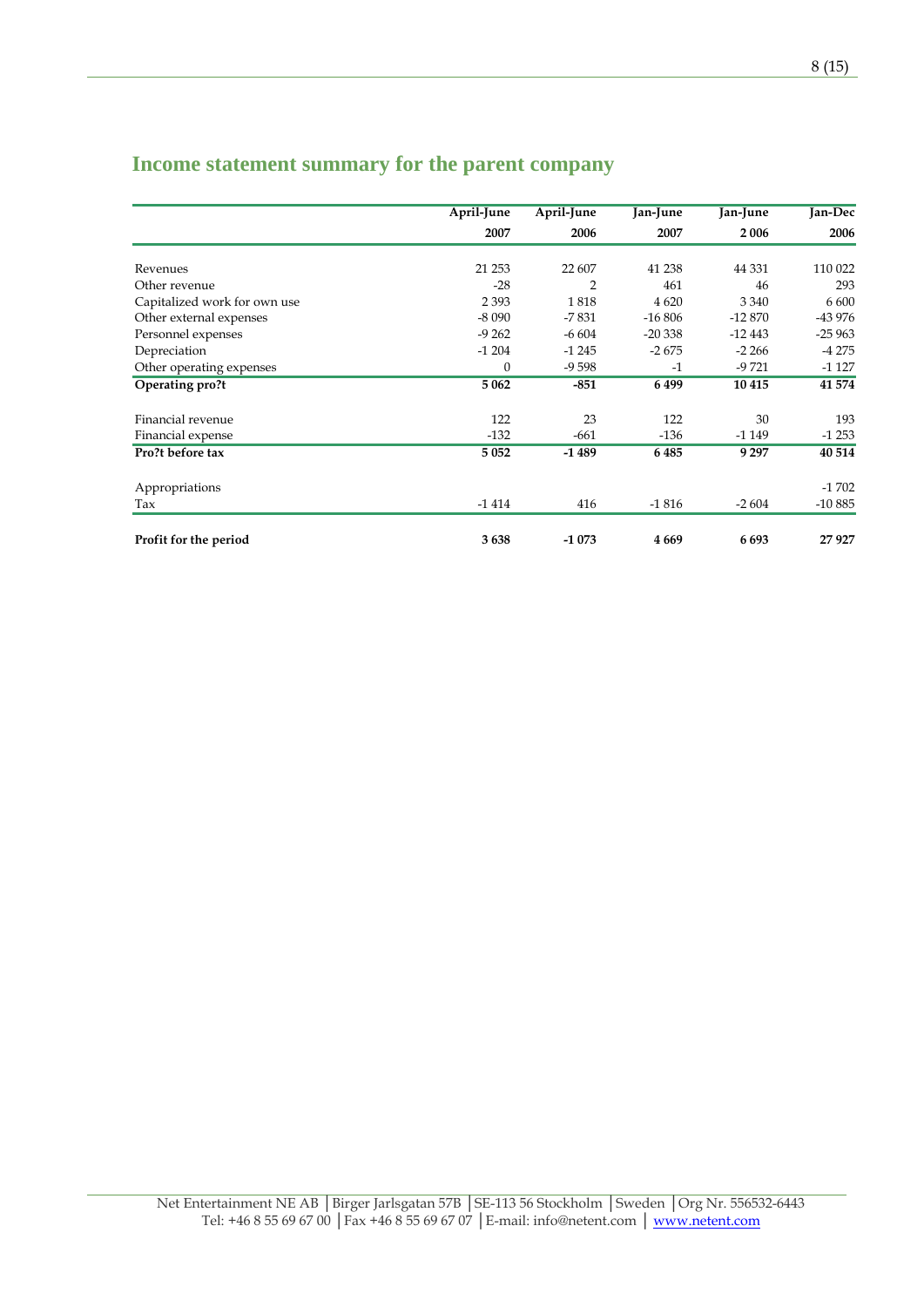|                              | April-June   | April-June | Jan-June | Jan-June | <b>Jan-Dec</b> |
|------------------------------|--------------|------------|----------|----------|----------------|
|                              | 2007         | 2006       | 2007     | 2 0 0 6  | 2006           |
|                              |              |            |          |          |                |
| Revenues                     | 21 25 3      | 22 607     | 41 238   | 44 3 31  | 110 022        |
| Other revenue                | $-28$        | 2          | 461      | 46       | 293            |
| Capitalized work for own use | 2 3 9 3      | 1818       | 4 6 20   | 3 3 4 0  | 6 600          |
| Other external expenses      | $-8090$      | $-7831$    | $-16806$ | -12 870  | -43 976        |
| Personnel expenses           | $-9262$      | $-6604$    | $-20338$ | $-12443$ | $-25963$       |
| Depreciation                 | $-1204$      | $-1245$    | $-2675$  | $-2266$  | $-4275$        |
| Other operating expenses     | $\mathbf{0}$ | $-9598$    | $-1$     | $-9721$  | $-1127$        |
| Operating pro?t              | 5 0 6 2      | $-851$     | 6499     | 10 4 15  | 41 574         |
| Financial revenue            | 122          | 23         | 122      | 30       | 193            |
| Financial expense            | $-132$       | $-661$     | $-136$   | $-1149$  | $-1253$        |
| Pro?t before tax             | 5 0 5 2      | $-1489$    | 6485     | 9 2 9 7  | 40 514         |
| Appropriations               |              |            |          |          | $-1702$        |
| Tax                          | $-1414$      | 416        | $-1816$  | $-2604$  | $-10885$       |
| Profit for the period        | 3638         | $-1073$    | 4 6 6 9  | 6693     | 27927          |

# **Income statement summary for the parent company**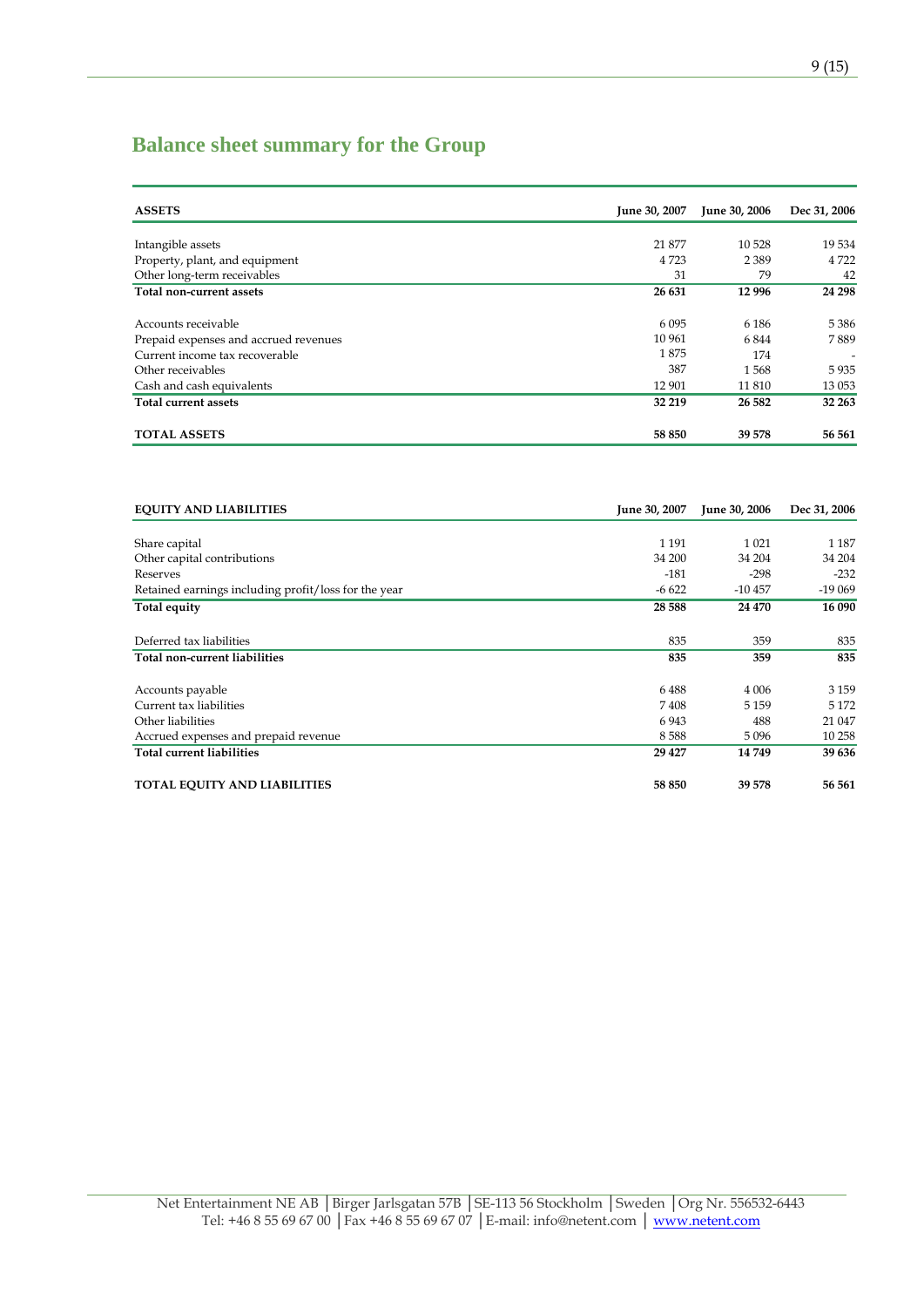## **Balance sheet summary for the Group**

| <b>ASSETS</b>                         | June 30, 2007 | June 30, 2006 | Dec 31, 2006             |
|---------------------------------------|---------------|---------------|--------------------------|
|                                       |               |               |                          |
| Intangible assets                     | 21 877        | 10 5 28       | 19534                    |
| Property, plant, and equipment        | 4 7 2 3       | 2 3 8 9       | 4 7 2 2                  |
| Other long-term receivables           | 31            | 79            | 42                       |
| Total non-current assets              | 26 631        | 12 9 96       | 24 298                   |
|                                       |               |               |                          |
| Accounts receivable                   | 6 0 9 5       | 6 1 8 6       | 5 3 8 6                  |
| Prepaid expenses and accrued revenues | 10 961        | 6844          | 7889                     |
| Current income tax recoverable        | 1875          | 174           | $\overline{\phantom{0}}$ |
| Other receivables                     | 387           | 1568          | 5935                     |
| Cash and cash equivalents             | 12 901        | 11 810        | 13 0 53                  |
| <b>Total current assets</b>           | 32 219        | 26 5 82       | 32 263                   |
| <b>TOTAL ASSETS</b>                   | 58 850        | 39 578        | 56 561                   |

| <b>EQUITY AND LIABILITIES</b>                        | June 30, 2007 | June 30, 2006 | Dec 31, 2006 |
|------------------------------------------------------|---------------|---------------|--------------|
|                                                      |               |               |              |
| Share capital                                        | 1 1 9 1       | 1 0 2 1       | 1 1 8 7      |
| Other capital contributions                          | 34 200        | 34 204        | 34 204       |
| Reserves                                             | $-181$        | $-298$        | $-232$       |
| Retained earnings including profit/loss for the year | $-6622$       | $-10457$      | $-19069$     |
| Total equity                                         | 28 5 88       | 24 470        | 16 090       |
| Deferred tax liabilities                             | 835           | 359           | 835          |
| Total non-current liabilities                        | 835           | 359           | 835          |
| Accounts payable                                     | 6488          | 4 0 0 6       | 3 1 5 9      |
| Current tax liabilities                              | 7408          | 5 1 5 9       | 5 1 7 2      |
| Other liabilities                                    | 6943          | 488           | 21 047       |
| Accrued expenses and prepaid revenue                 | 8588          | 5096          | 10 258       |
| <b>Total current liabilities</b>                     | 29 4 27       | 14749         | 39 636       |
| <b>TOTAL EQUITY AND LIABILITIES</b>                  | 58 850        | 39 578        | 56 561       |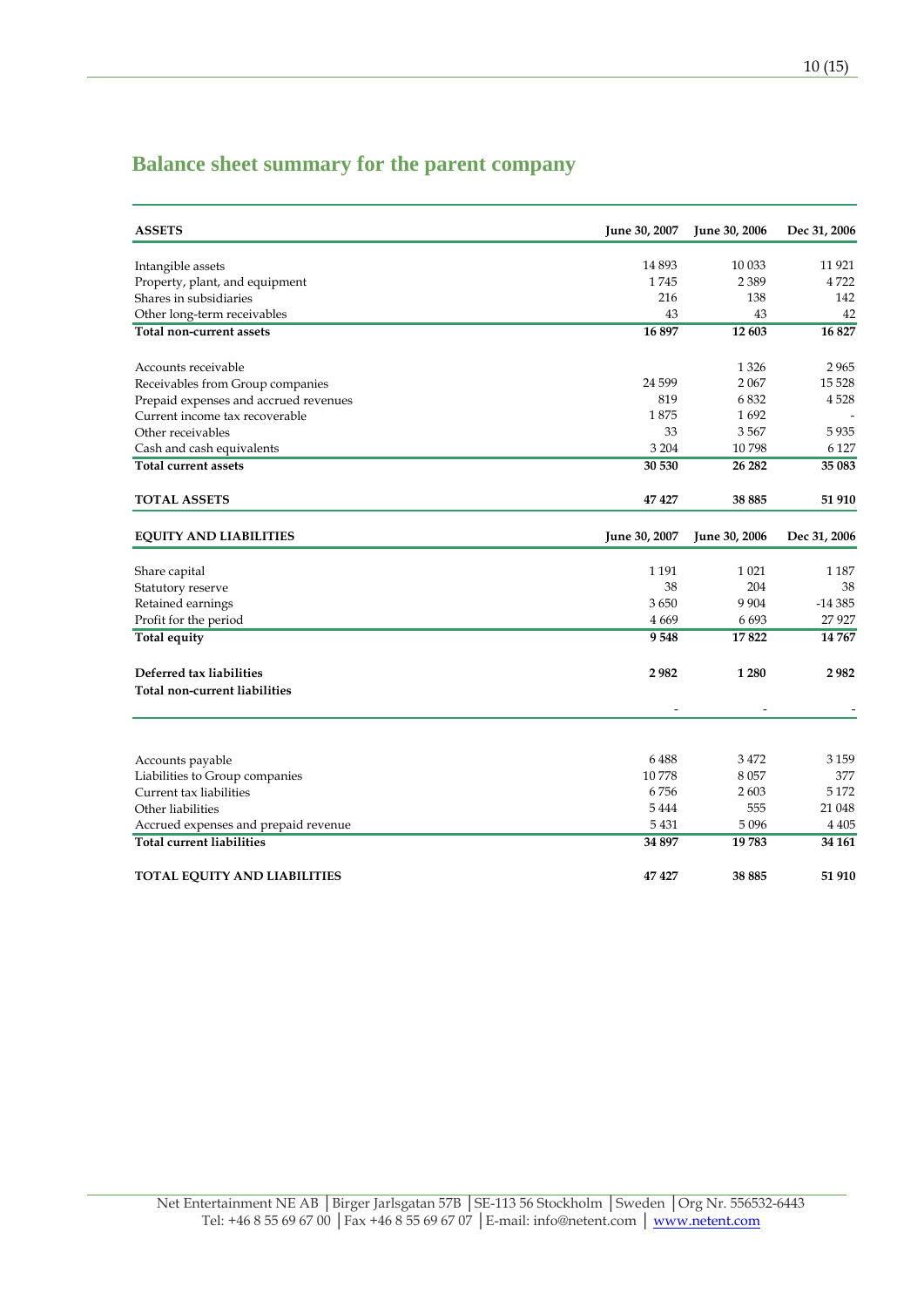## **Balance sheet summary for the parent company**

| <b>ASSETS</b>                         | June 30, 2007 | June 30, 2006 | Dec 31, 2006 |
|---------------------------------------|---------------|---------------|--------------|
| Intangible assets                     | 14 8 93       | 10 033        | 11 9 21      |
| Property, plant, and equipment        | 1745          | 2 3 8 9       | 4722         |
| Shares in subsidiaries                | 216           | 138           | 142          |
| Other long-term receivables           | 43            | 43            | 42           |
| <b>Total non-current assets</b>       | 16897         | 12 603        | 16827        |
| Accounts receivable                   |               | 1 3 2 6       | 2965         |
| Receivables from Group companies      | 24 5 99       | 2067          | 15 5 28      |
| Prepaid expenses and accrued revenues | 819           | 6832          | 4528         |
| Current income tax recoverable        | 1875          | 1692          |              |
| Other receivables                     | 33            | 3567          | 5935         |
| Cash and cash equivalents             | 3 2 0 4       | 10798         | 6 1 2 7      |
| <b>Total current assets</b>           | 30 530        | 26 28 2       | 35 083       |
| <b>TOTAL ASSETS</b>                   | 47 427        | 38 885        | 51 910       |
| <b>EQUITY AND LIABILITIES</b>         | June 30, 2007 | June 30, 2006 | Dec 31, 2006 |
| Share capital                         | 1 1 9 1       | 1 0 2 1       | 1 1 8 7      |
| Statutory reserve                     | 38            | 204           | 38           |
| Retained earnings                     | 3650          | 9 9 0 4       | $-14385$     |
| Profit for the period                 | 4 6 6 9       | 6693          | 27 9 27      |
| Total equity                          | 9548          | 17822         | 14767        |
| Deferred tax liabilities              | 2982          | 1 2 8 0       | 2982         |
| Total non-current liabilities         |               |               |              |
|                                       |               |               |              |
| Accounts payable                      | 6488          | 3472          | 3 1 5 9      |
| Liabilities to Group companies        | 10778         | 8057          | 377          |
| Current tax liabilities               | 6756          | 2603          | 5 1 7 2      |
| Other liabilities                     | 5444          | 555           | 21 048       |
| Accrued expenses and prepaid revenue  | 5431          | 5 0 9 6       | 4 405        |
| <b>Total current liabilities</b>      | 34 897        | 19 783        | 34 161       |
| TOTAL EQUITY AND LIABILITIES          | 47427         | 38 885        | 51 910       |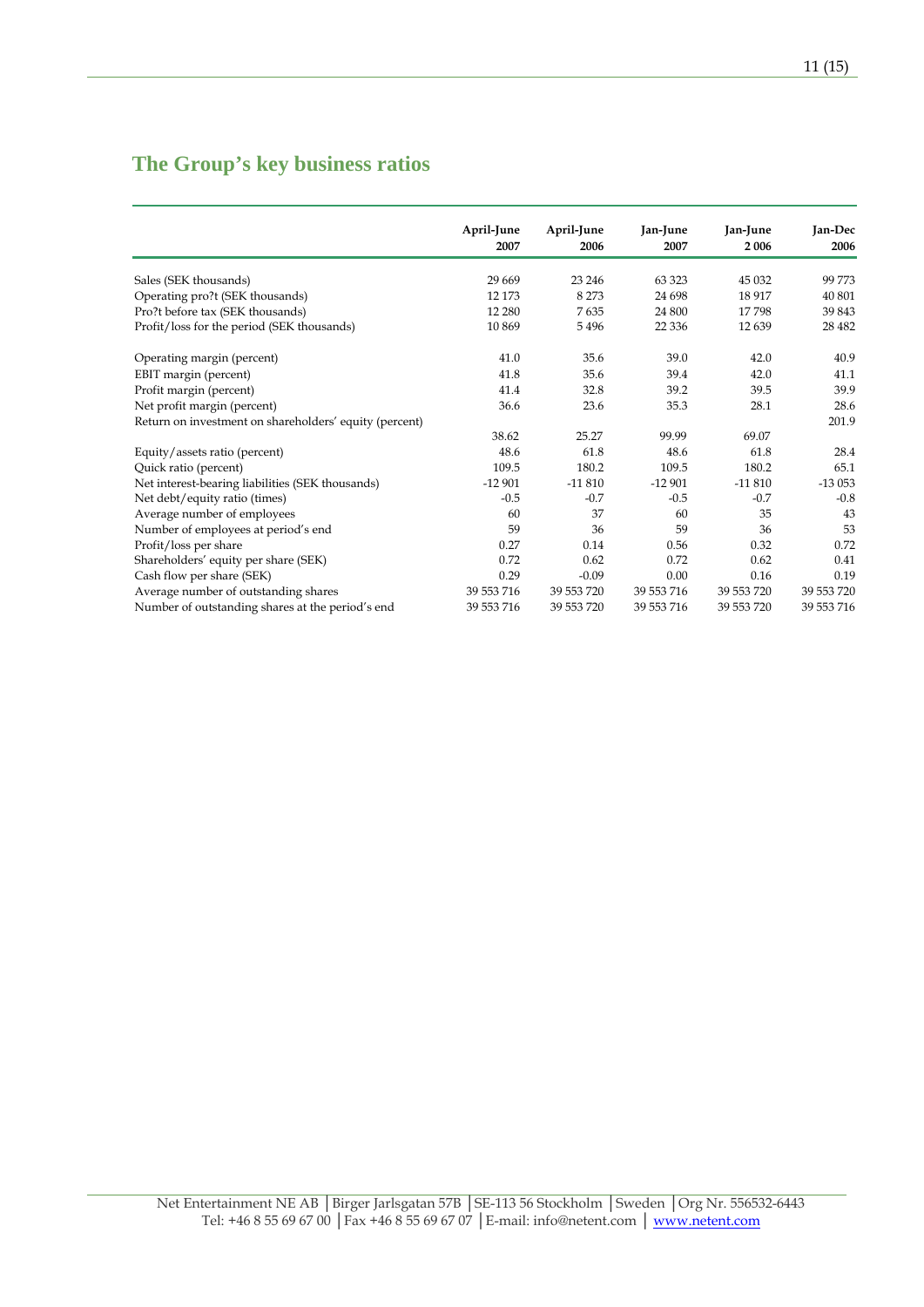## **The Group's key business ratios**

|                                                        | April-June | April-June | Jan-June   | Jan-June   | Jan-Dec    |
|--------------------------------------------------------|------------|------------|------------|------------|------------|
|                                                        | 2007       | 2006       | 2007       | 2006       | 2006       |
|                                                        |            |            |            |            |            |
| Sales (SEK thousands)                                  | 29 6 69    | 23 24 6    | 63 3 23    | 45 032     | 99773      |
| Operating pro?t (SEK thousands)                        | 12 173     | 8 2 7 3    | 24 698     | 18 9 17    | 40 801     |
| Pro?t before tax (SEK thousands)                       | 12 280     | 7635       | 24 800     | 17798      | 39 843     |
| Profit/loss for the period (SEK thousands)             | 10869      | 5496       | 22 3 36    | 12639      | 28 4 82    |
| Operating margin (percent)                             | 41.0       | 35.6       | 39.0       | 42.0       | 40.9       |
| EBIT margin (percent)                                  | 41.8       | 35.6       | 39.4       | 42.0       | 41.1       |
| Profit margin (percent)                                | 41.4       | 32.8       | 39.2       | 39.5       | 39.9       |
| Net profit margin (percent)                            | 36.6       | 23.6       | 35.3       | 28.1       | 28.6       |
| Return on investment on shareholders' equity (percent) |            |            |            |            | 201.9      |
|                                                        | 38.62      | 25.27      | 99.99      | 69.07      |            |
| Equity/assets ratio (percent)                          | 48.6       | 61.8       | 48.6       | 61.8       | 28.4       |
| Quick ratio (percent)                                  | 109.5      | 180.2      | 109.5      | 180.2      | 65.1       |
| Net interest-bearing liabilities (SEK thousands)       | $-12901$   | $-11810$   | $-12901$   | $-11810$   | $-13053$   |
| Net debt/equity ratio (times)                          | $-0.5$     | $-0.7$     | $-0.5$     | $-0.7$     | $-0.8$     |
| Average number of employees                            | 60         | 37         | 60         | 35         | 43         |
| Number of employees at period's end                    | 59         | 36         | 59         | 36         | 53         |
| Profit/loss per share                                  | 0.27       | 0.14       | 0.56       | 0.32       | 0.72       |
| Shareholders' equity per share (SEK)                   | 0.72       | 0.62       | 0.72       | 0.62       | 0.41       |
| Cash flow per share (SEK)                              | 0.29       | $-0.09$    | 0.00       | 0.16       | 0.19       |
| Average number of outstanding shares                   | 39 553 716 | 39 553 720 | 39 553 716 | 39 553 720 | 39 553 720 |
| Number of outstanding shares at the period's end       | 39 553 716 | 39 553 720 | 39 553 716 | 39 553 720 | 39 553 716 |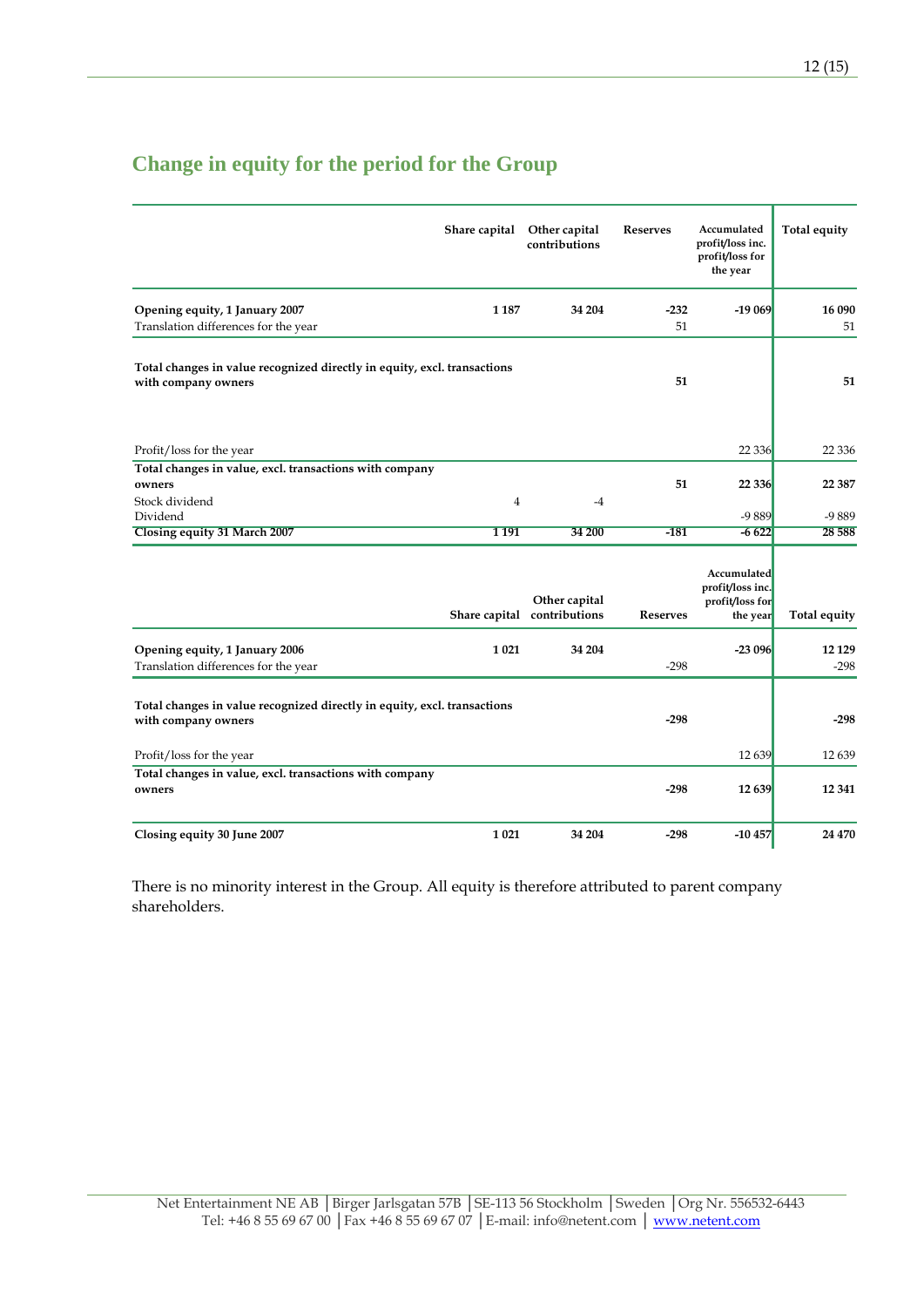|                                                                                                 | Share capital | Other capital<br>contributions               | <b>Reserves</b> | Accumulated<br>profit/loss inc.<br>profit/loss for<br>the year | Total equity      |
|-------------------------------------------------------------------------------------------------|---------------|----------------------------------------------|-----------------|----------------------------------------------------------------|-------------------|
| Opening equity, 1 January 2007                                                                  | 1 1 8 7       | 34 204                                       | $-232$          | $-19069$                                                       | 16 090            |
| Translation differences for the year                                                            |               |                                              | 51              |                                                                | 51                |
| Total changes in value recognized directly in equity, excl. transactions<br>with company owners |               |                                              | 51              |                                                                | 51                |
| Profit/loss for the year                                                                        |               |                                              |                 | 22 3 36                                                        | 22 3 36           |
| Total changes in value, excl. transactions with company<br>owners                               |               |                                              | 51              | 22 3 3 6                                                       | 22 3 8 7          |
| Stock dividend<br>Dividend                                                                      | 4             | -4                                           |                 | -9889                                                          | -9889             |
| Closing equity 31 March 2007                                                                    | 1191          | 34 200                                       | $-181$          | $-6622$                                                        | 28 5 88           |
|                                                                                                 |               | Other capital<br>Share capital contributions | <b>Reserves</b> | Accumulated<br>profit/loss inc.<br>profit/loss for<br>the year | Total equity      |
| Opening equity, 1 January 2006<br>Translation differences for the year                          | 1 0 2 1       | 34 204                                       | $-298$          | $-23096$                                                       | 12 1 29<br>$-298$ |
| Total changes in value recognized directly in equity, excl. transactions<br>with company owners |               |                                              | $-298$          |                                                                | $-298$            |
| Profit/loss for the year                                                                        |               |                                              |                 | 12639                                                          | 12639             |
| Total changes in value, excl. transactions with company<br>owners                               |               |                                              | $-298$          | 12 639                                                         | 12 341            |
| Closing equity 30 June 2007                                                                     | 1021          | 34 204                                       | $-298$          | $-10457$                                                       | 24 470            |

# **Change in equity for the period for the Group**

There is no minority interest in the Group. All equity is therefore attributed to parent company shareholders.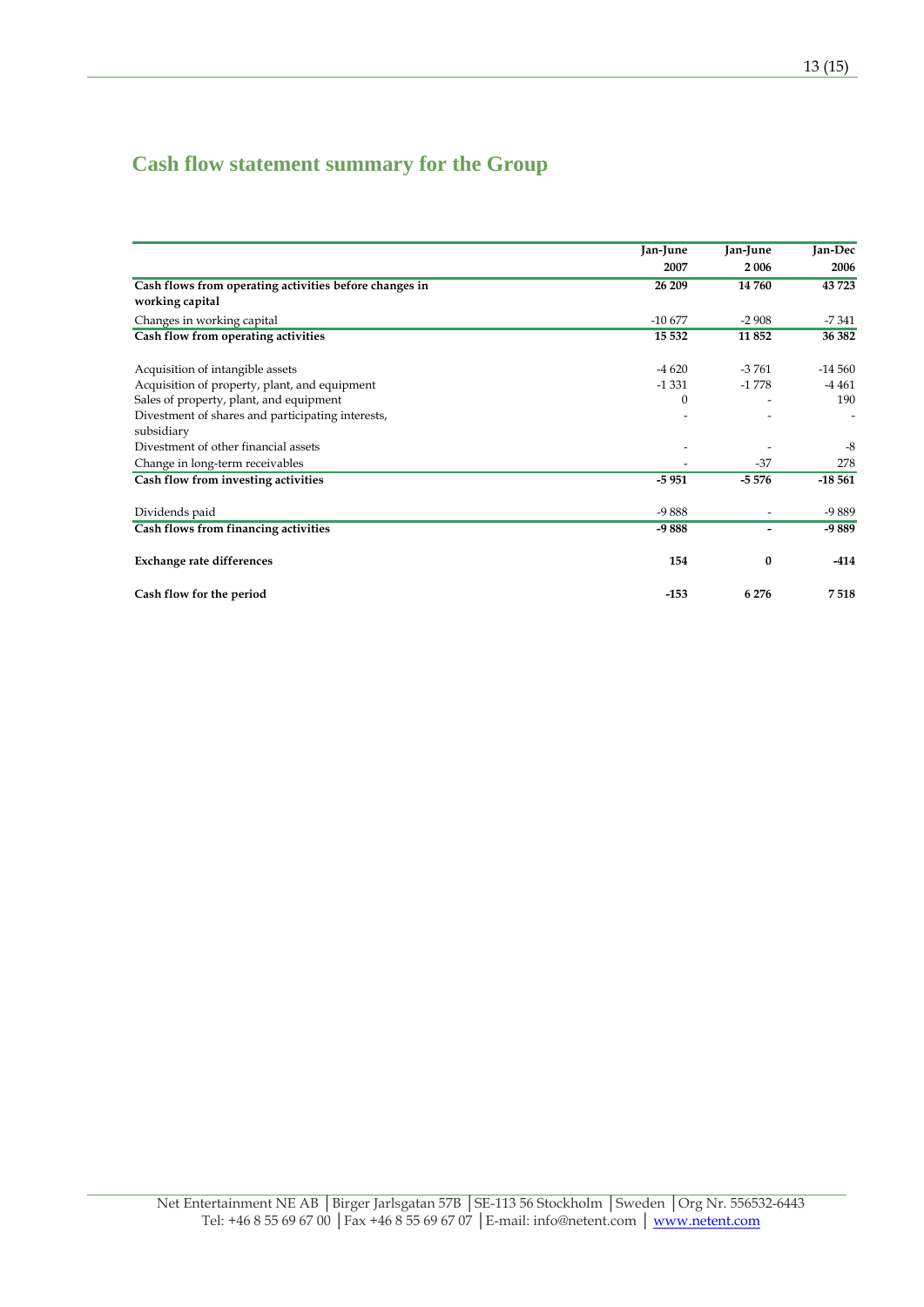# **Cash flow statement summary for the Group**

|                                                        | Jan-June | Jan-June<br>2006 | Jan-Dec<br>2006 |
|--------------------------------------------------------|----------|------------------|-----------------|
|                                                        | 2007     |                  |                 |
| Cash flows from operating activities before changes in | 26 209   | 14 760           | 43723           |
| working capital                                        |          |                  |                 |
| Changes in working capital                             | $-10677$ | $-2908$          | $-7341$         |
| Cash flow from operating activities                    | 15 5 32  | 11852            | 36 382          |
| Acquisition of intangible assets                       | $-4620$  | $-3761$          | $-14560$        |
| Acquisition of property, plant, and equipment          | $-1331$  | $-1778$          | $-4461$         |
| Sales of property, plant, and equipment                | $\Omega$ |                  | 190             |
| Divestment of shares and participating interests,      |          |                  |                 |
| subsidiary                                             |          |                  |                 |
| Divestment of other financial assets                   |          |                  | $-8$            |
| Change in long-term receivables                        |          | $-37$            | 278             |
| Cash flow from investing activities                    | $-5951$  | $-5576$          | $-18,561$       |
| Dividends paid                                         | $-9888$  |                  | $-9889$         |
| Cash flows from financing activities                   | $-9888$  |                  | -9889           |
| <b>Exchange rate differences</b>                       | 154      | $\bf{0}$         | $-414$          |
| Cash flow for the period                               | $-153$   | 6 2 7 6          | 7518            |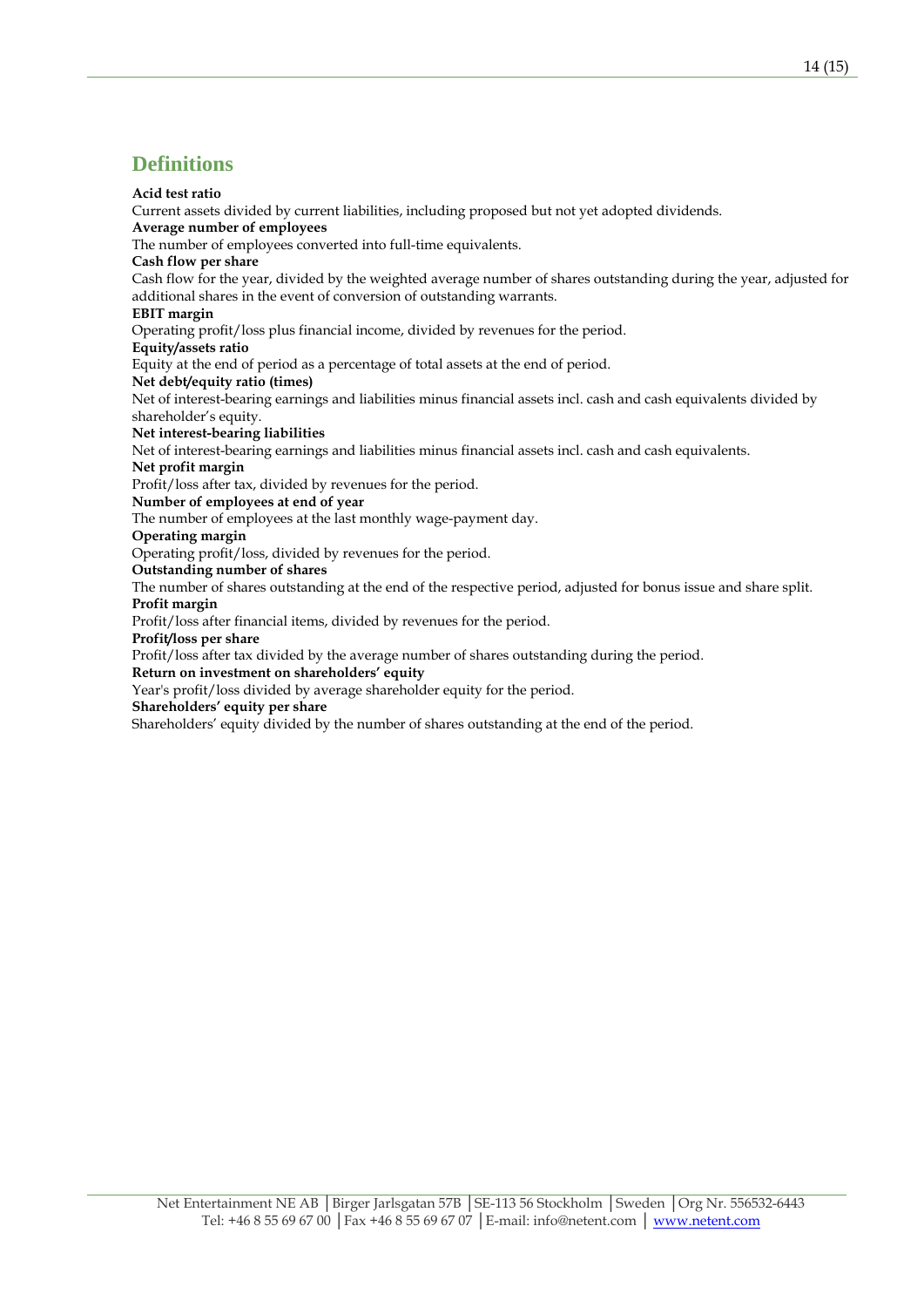### **Definitions**

#### **Acid test ratio**

Current assets divided by current liabilities, including proposed but not yet adopted dividends.

### **Average number of employees**

The number of employees converted into full-time equivalents.

### **Cash flow per share**

Cash flow for the year, divided by the weighted average number of shares outstanding during the year, adjusted for additional shares in the event of conversion of outstanding warrants.

### **EBIT margin**

Operating profit/loss plus financial income, divided by revenues for the period.

#### **Equity/assets ratio**

Equity at the end of period as a percentage of total assets at the end of period.

### **Net debt/equity ratio (times)**

Net of interest-bearing earnings and liabilities minus financial assets incl. cash and cash equivalents divided by shareholder's equity.

### **Net interest-bearing liabilities**

Net of interest-bearing earnings and liabilities minus financial assets incl. cash and cash equivalents.

### **Net profit margin**

Profit/loss after tax, divided by revenues for the period.

**Number of employees at end of year** 

The number of employees at the last monthly wage-payment day.

### **Operating margin**

Operating profit/loss, divided by revenues for the period.

#### **Outstanding number of shares**

The number of shares outstanding at the end of the respective period, adjusted for bonus issue and share split. **Profit margin** 

Profit/loss after financial items, divided by revenues for the period.

### **Profit/loss per share**

Profit/loss after tax divided by the average number of shares outstanding during the period.

#### **Return on investment on shareholders' equity**

Year's profit/loss divided by average shareholder equity for the period.

**Shareholders' equity per share** 

Shareholders' equity divided by the number of shares outstanding at the end of the period.